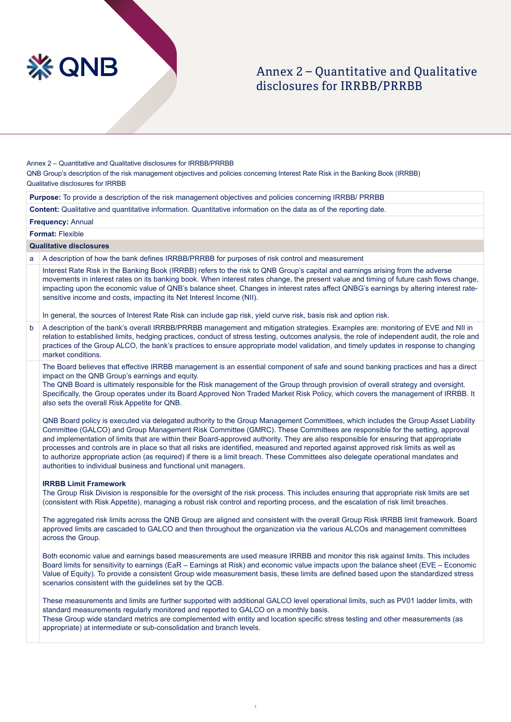

# Annex 2 – Ouantitative and Qualitative disclosures for IRRBB/PRRBB

Annex 2 - Quantitative and Qualitative disclosures for IRRBB/PRRBB

QNB Group's description of the risk management objectives and policies concerning Interest Rate Risk in the Banking Book (IRRBB) Qualitative disclosures for IRRBB

Purpose: To provide a description of the risk management objectives and policies concerning IRRBB/ PRRBB

**Content:** Qualitative and quantitative information. Quantitative information on the data as of the reporting date.

**Frequency: Annual** 

**Format: Flexible** 

### **Qualitative disclosures**

a A description of how the bank defines IRRBB/PRRBB for purposes of risk control and measurement

Interest Rate Risk in the Banking Book (IRRBB) refers to the risk to QNB Group's capital and earnings arising from the adverse movements in interest rates on its banking book. When interest rates change, the present value and timing of future cash flows change, impacting upon the economic value of QNB's balance sheet. Changes in interest rates affect QNBG's earnings by altering interest rate-<br>sensitive income and costs, impacting its Net Interest Income (NII).

In general, the sources of Interest Rate Risk can include gap risk, yield curve risk, basis risk and option risk.

b A description of the bank's overall IRRBB/PRRBB management and mitigation strategies. Examples are: monitoring of EVE and NII in relation to established limits, hedging practices, conduct of stress testing, outcomes analysis, the role of independent audit, the role and practices of the Group ALCO, the bank's practices to ensure appropriate model validation, and timely updates in response to changing market conditions.

The Board believes that effective IRRBB management is an essential component of safe and sound banking practices and has a direct impact on the QNB Group's earnings and equity.

The QNB Board is ultimately responsible for the Risk management of the Group through provision of overall strategy and oversight. Specifically, the Group operates under its Board Approved Non Traded Market Risk Policy, which covers the management of IRRBB. It also sets the overall Risk Appetite for QNB.

QNB Board policy is executed via delegated authority to the Group Management Committees, which includes the Group Asset Liability Committee (GALCO) and Group Management Risk Committee (GMRC). These Committees are responsible for the setting, approval and implementation of limits that are within their Board-approved authority. They are also responsible for ensuring that appropriate processes and controls are in place so that all risks are identified, measured and reported against approved risk limits as well as to authorize appropriate action (as required) if there is a limit breach. These Committees also delegate operational mandates and authorities to individual business and functional unit managers.

#### **IRRBB Limit Framework**

The Group Risk Division is responsible for the oversight of the risk process. This includes ensuring that appropriate risk limits are set (consistent with Risk Appetite), managing a robust risk control and reporting process, and the escalation of risk limit breaches.

The aggregated risk limits across the QNB Group are aligned and consistent with the overall Group Risk IRRBB limit framework. Board approved limits are cascaded to GALCO and then throughout the organization via the various ALCOs and management committees across the Group.

Both economic value and earnings based measurements are used measure IRRBB and monitor this risk against limits. This includes Board limits for sensitivity to earnings (EaR – Earnings at Risk) and economic value impacts upon the balance sheet (EVE – Economic Value of Equity). To provide a consistent Group wide measurement basis, these limits are defined based upon the standardized stress scenarios consistent with the guidelines set by the QCB.

These measurements and limits are further supported with additional GALCO level operational limits, such as PV01 ladder limits, with standard measurements regularly monitored and reported to GALCO on a monthly basis. These Group wide standard metrics are complemented with entity and location specific stress testing and other measurements (as appropriate) at intermediate or sub-consolidation and branch levels.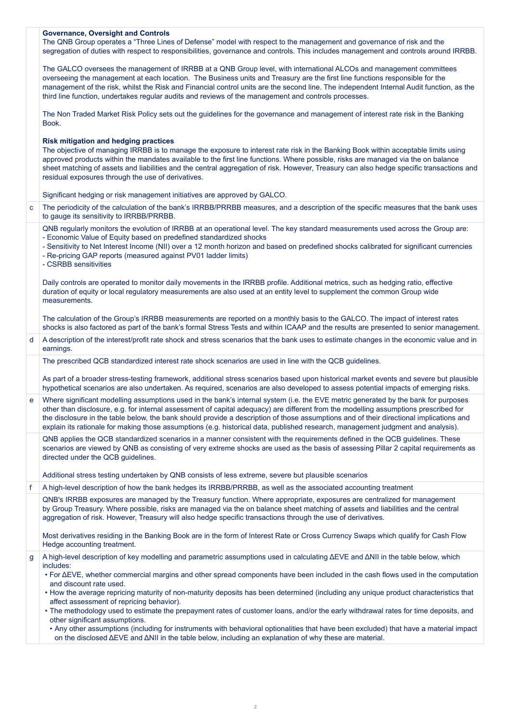|   | <b>Governance, Oversight and Controls</b><br>The QNB Group operates a "Three Lines of Defense" model with respect to the management and governance of risk and the<br>segregation of duties with respect to responsibilities, governance and controls. This includes management and controls around IRRBB.                                                                                                                                                                                                                                                |
|---|-----------------------------------------------------------------------------------------------------------------------------------------------------------------------------------------------------------------------------------------------------------------------------------------------------------------------------------------------------------------------------------------------------------------------------------------------------------------------------------------------------------------------------------------------------------|
|   | The GALCO oversees the management of IRRBB at a QNB Group level, with international ALCOs and management committees<br>overseeing the management at each location. The Business units and Treasury are the first line functions responsible for the<br>management of the risk, whilst the Risk and Financial control units are the second line. The independent Internal Audit function, as the<br>third line function, undertakes regular audits and reviews of the management and controls processes.                                                   |
|   | The Non Traded Market Risk Policy sets out the guidelines for the governance and management of interest rate risk in the Banking<br>Book.                                                                                                                                                                                                                                                                                                                                                                                                                 |
|   | <b>Risk mitigation and hedging practices</b><br>The objective of managing IRRBB is to manage the exposure to interest rate risk in the Banking Book within acceptable limits using<br>approved products within the mandates available to the first line functions. Where possible, risks are managed via the on balance<br>sheet matching of assets and liabilities and the central aggregation of risk. However, Treasury can also hedge specific transactions and<br>residual exposures through the use of derivatives.                                 |
|   | Significant hedging or risk management initiatives are approved by GALCO.                                                                                                                                                                                                                                                                                                                                                                                                                                                                                 |
| c | The periodicity of the calculation of the bank's IRRBB/PRRBB measures, and a description of the specific measures that the bank uses<br>to gauge its sensitivity to IRRBB/PRRBB.                                                                                                                                                                                                                                                                                                                                                                          |
|   | QNB regularly monitors the evolution of IRRBB at an operational level. The key standard measurements used across the Group are:<br>- Economic Value of Equity based on predefined standardized shocks<br>- Sensitivity to Net Interest Income (NII) over a 12 month horizon and based on predefined shocks calibrated for significant currencies<br>- Re-pricing GAP reports (measured against PV01 ladder limits)<br>- CSRBB sensitivities                                                                                                               |
|   | Daily controls are operated to monitor daily movements in the IRRBB profile. Additional metrics, such as hedging ratio, effective<br>duration of equity or local regulatory measurements are also used at an entity level to supplement the common Group wide<br>measurements.                                                                                                                                                                                                                                                                            |
|   | The calculation of the Group's IRRBB measurements are reported on a monthly basis to the GALCO. The impact of interest rates<br>shocks is also factored as part of the bank's formal Stress Tests and within ICAAP and the results are presented to senior management.                                                                                                                                                                                                                                                                                    |
|   |                                                                                                                                                                                                                                                                                                                                                                                                                                                                                                                                                           |
| d | A description of the interest/profit rate shock and stress scenarios that the bank uses to estimate changes in the economic value and in<br>earnings.                                                                                                                                                                                                                                                                                                                                                                                                     |
|   | The prescribed QCB standardized interest rate shock scenarios are used in line with the QCB guidelines.                                                                                                                                                                                                                                                                                                                                                                                                                                                   |
|   | As part of a broader stress-testing framework, additional stress scenarios based upon historical market events and severe but plausible<br>hypothetical scenarios are also undertaken. As required, scenarios are also developed to assess potential impacts of emerging risks.                                                                                                                                                                                                                                                                           |
| e | Where significant modelling assumptions used in the bank's internal system (i.e. the EVE metric generated by the bank for purposes<br>other than disclosure, e.g. for internal assessment of capital adequacy) are different from the modelling assumptions prescribed for<br>the disclosure in the table below, the bank should provide a description of those assumptions and of their directional implications and<br>explain its rationale for making those assumptions (e.g. historical data, published research, management judgment and analysis). |
|   | QNB applies the QCB standardized scenarios in a manner consistent with the requirements defined in the QCB guidelines. These<br>scenarios are viewed by QNB as consisting of very extreme shocks are used as the basis of assessing Pillar 2 capital requirements as<br>directed under the QCB guidelines.                                                                                                                                                                                                                                                |
|   | Additional stress testing undertaken by QNB consists of less extreme, severe but plausible scenarios                                                                                                                                                                                                                                                                                                                                                                                                                                                      |
| f | A high-level description of how the bank hedges its IRRBB/PRRBB, as well as the associated accounting treatment                                                                                                                                                                                                                                                                                                                                                                                                                                           |
|   | QNB's IRRBB exposures are managed by the Treasury function. Where appropriate, exposures are centralized for management<br>by Group Treasury. Where possible, risks are managed via the on balance sheet matching of assets and liabilities and the central<br>aggregation of risk. However, Treasury will also hedge specific transactions through the use of derivatives.                                                                                                                                                                               |
|   | Most derivatives residing in the Banking Book are in the form of Interest Rate or Cross Currency Swaps which qualify for Cash Flow<br>Hedge accounting treatment.                                                                                                                                                                                                                                                                                                                                                                                         |
| g | A high-level description of key modelling and parametric assumptions used in calculating $\Delta EVE$ and $\Delta NII$ in the table below, which<br>includes:<br>• For AEVE, whether commercial margins and other spread components have been included in the cash flows used in the computation<br>and discount rate used.                                                                                                                                                                                                                               |
|   | • How the average repricing maturity of non-maturity deposits has been determined (including any unique product characteristics that<br>affect assessment of repricing behavior).                                                                                                                                                                                                                                                                                                                                                                         |
|   | . The methodology used to estimate the prepayment rates of customer loans, and/or the early withdrawal rates for time deposits, and<br>other significant assumptions.<br>• Any other assumptions (including for instruments with behavioral optionalities that have been excluded) that have a material impact                                                                                                                                                                                                                                            |